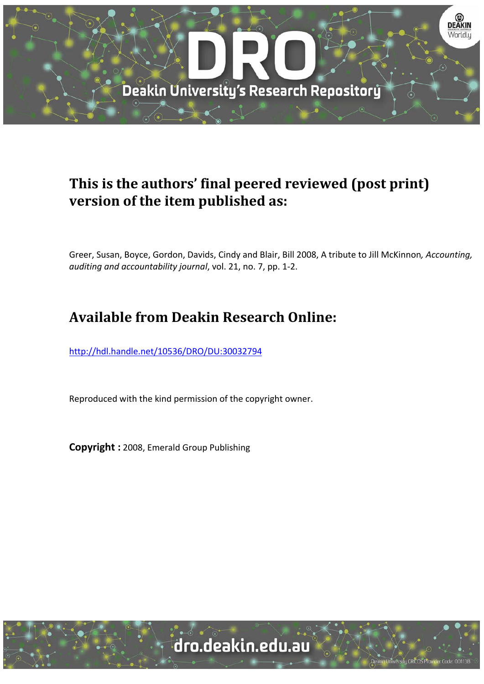

### **This is the authors' final peered reviewed (post print) version of the item published as:**

Greer, Susan, Boyce, Gordon, Davids, Cindy and Blair, Bill 2008, A tribute to Jill McKinnon*, Accounting, auditing and accountability journal*, vol. 21, no. 7, pp. 1‐2.

# **Available from Deakin Research Online:**

http://hdl.handle.net/10536/DRO/DU:30032794

Reproduced with the kind permission of the copyright owner.

**Copyright :** 2008, Emerald Group Publishing

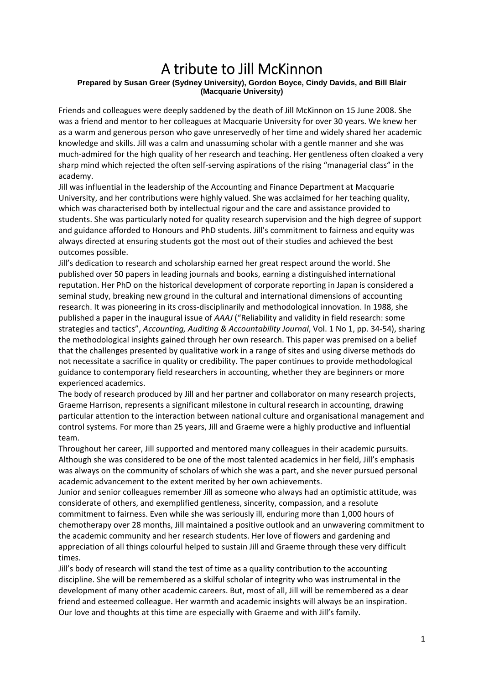# A tribute to Jill McKinnon

#### **Prepared by Susan Greer (Sydney University), Gordon Boyce, Cindy Davids, and Bill Blair (Macquarie University)**

Friends and colleagues were deeply saddened by the death of Jill McKinnon on 15 June 2008. She was a friend and mentor to her colleagues at Macquarie University for over 30 years. We knew her as a warm and generous person who gave unreservedly of her time and widely shared her academic knowledge and skills. Jill was a calm and unassuming scholar with a gentle manner and she was much-admired for the high quality of her research and teaching. Her gentleness often cloaked a very sharp mind which rejected the often self‐serving aspirations of the rising "managerial class" in the academy.

Jill was influential in the leadership of the Accounting and Finance Department at Macquarie University, and her contributions were highly valued. She was acclaimed for her teaching quality, which was characterised both by intellectual rigour and the care and assistance provided to students. She was particularly noted for quality research supervision and the high degree of support and guidance afforded to Honours and PhD students. Jill's commitment to fairness and equity was always directed at ensuring students got the most out of their studies and achieved the best outcomes possible.

Jill's dedication to research and scholarship earned her great respect around the world. She published over 50 papers in leading journals and books, earning a distinguished international reputation. Her PhD on the historical development of corporate reporting in Japan is considered a seminal study, breaking new ground in the cultural and international dimensions of accounting research. It was pioneering in its cross‐disciplinarily and methodological innovation. In 1988, she published a paper in the inaugural issue of *AAAJ* ("Reliability and validity in field research: some strategies and tactics", *Accounting, Auditing & Accountability Journal*, Vol. 1 No 1, pp. 34‐54), sharing the methodological insights gained through her own research. This paper was premised on a belief that the challenges presented by qualitative work in a range of sites and using diverse methods do not necessitate a sacrifice in quality or credibility. The paper continues to provide methodological guidance to contemporary field researchers in accounting, whether they are beginners or more experienced academics.

The body of research produced by Jill and her partner and collaborator on many research projects, Graeme Harrison, represents a significant milestone in cultural research in accounting, drawing particular attention to the interaction between national culture and organisational management and control systems. For more than 25 years, Jill and Graeme were a highly productive and influential team.

Throughout her career, Jill supported and mentored many colleagues in their academic pursuits. Although she was considered to be one of the most talented academics in her field, Jill's emphasis was always on the community of scholars of which she was a part, and she never pursued personal academic advancement to the extent merited by her own achievements.

Junior and senior colleagues remember Jill as someone who always had an optimistic attitude, was considerate of others, and exemplified gentleness, sincerity, compassion, and a resolute commitment to fairness. Even while she was seriously ill, enduring more than 1,000 hours of chemotherapy over 28 months, Jill maintained a positive outlook and an unwavering commitment to the academic community and her research students. Her love of flowers and gardening and appreciation of all things colourful helped to sustain Jill and Graeme through these very difficult times.

Jill's body of research will stand the test of time as a quality contribution to the accounting discipline. She will be remembered as a skilful scholar of integrity who was instrumental in the development of many other academic careers. But, most of all, Jill will be remembered as a dear friend and esteemed colleague. Her warmth and academic insights will always be an inspiration. Our love and thoughts at this time are especially with Graeme and with Jill's family.